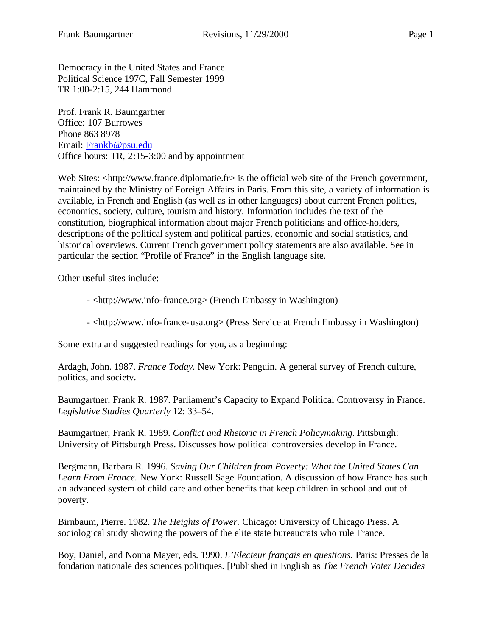Democracy in the United States and France Political Science 197C, Fall Semester 1999 TR 1:00-2:15, 244 Hammond

Prof. Frank R. Baumgartner Office: 107 Burrowes Phone 863 8978 Email: Frankb@psu.edu Office hours: TR, 2:15-3:00 and by appointment

Web Sites: <http://www.france.diplomatie.fr> is the official web site of the French government, maintained by the Ministry of Foreign Affairs in Paris. From this site, a variety of information is available, in French and English (as well as in other languages) about current French politics, economics, society, culture, tourism and history. Information includes the text of the constitution, biographical information about major French politicians and office-holders, descriptions of the political system and political parties, economic and social statistics, and historical overviews. Current French government policy statements are also available. See in particular the section "Profile of France" in the English language site.

Other useful sites include:

- <http://www.info-france.org> (French Embassy in Washington)

- <http://www.info-france-usa.org> (Press Service at French Embassy in Washington)

Some extra and suggested readings for you, as a beginning:

Ardagh, John. 1987. *France Today.* New York: Penguin. A general survey of French culture, politics, and society.

Baumgartner, Frank R. 1987. Parliament's Capacity to Expand Political Controversy in France. *Legislative Studies Quarterly* 12: 33–54.

Baumgartner, Frank R. 1989. *Conflict and Rhetoric in French Policymaking*. Pittsburgh: University of Pittsburgh Press. Discusses how political controversies develop in France.

Bergmann, Barbara R. 1996. *Saving Our Children from Poverty: What the United States Can Learn From France.* New York: Russell Sage Foundation. A discussion of how France has such an advanced system of child care and other benefits that keep children in school and out of poverty.

Birnbaum, Pierre. 1982. *The Heights of Power.* Chicago: University of Chicago Press. A sociological study showing the powers of the elite state bureaucrats who rule France.

Boy, Daniel, and Nonna Mayer, eds. 1990. *L'Electeur français en questions.* Paris: Presses de la fondation nationale des sciences politiques. [Published in English as *The French Voter Decides*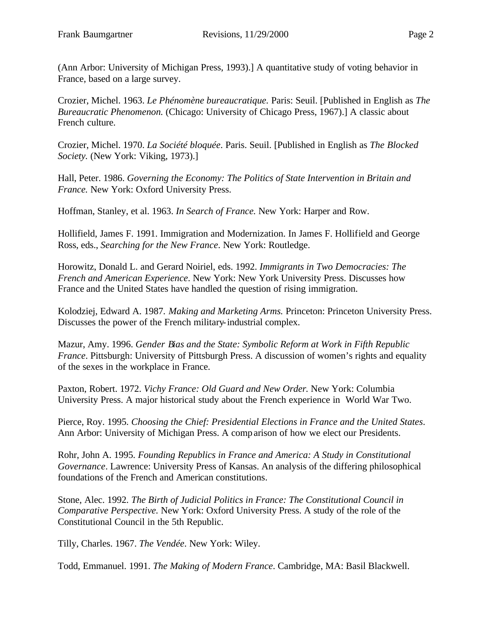(Ann Arbor: University of Michigan Press, 1993).] A quantitative study of voting behavior in France, based on a large survey.

Crozier, Michel. 1963. *Le Phénomène bureaucratique.* Paris: Seuil. [Published in English as *The Bureaucratic Phenomenon.* (Chicago: University of Chicago Press, 1967).] A classic about French culture.

Crozier, Michel. 1970. *La Société bloquée*. Paris. Seuil. [Published in English as *The Blocked Society.* (New York: Viking, 1973).]

Hall, Peter. 1986. *Governing the Economy: The Politics of State Intervention in Britain and France.* New York: Oxford University Press.

Hoffman, Stanley, et al. 1963. *In Search of France.* New York: Harper and Row.

Hollifield, James F. 1991. Immigration and Modernization. In James F. Hollifield and George Ross, eds., *Searching for the New France*. New York: Routledge.

Horowitz, Donald L. and Gerard Noiriel, eds. 1992. *Immigrants in Two Democracies: The French and American Experience*. New York: New York University Press. Discusses how France and the United States have handled the question of rising immigration.

Kolodziej, Edward A. 1987. *Making and Marketing Arms.* Princeton: Princeton University Press. Discusses the power of the French military-industrial complex.

Mazur, Amy. 1996. *Gender Bias and the State: Symbolic Reform at Work in Fifth Republic France*. Pittsburgh: University of Pittsburgh Press. A discussion of women's rights and equality of the sexes in the workplace in France.

Paxton, Robert. 1972. *Vichy France: Old Guard and New Order.* New York: Columbia University Press. A major historical study about the French experience in World War Two.

Pierce, Roy. 1995. *Choosing the Chief: Presidential Elections in France and the United States*. Ann Arbor: University of Michigan Press. A comparison of how we elect our Presidents.

Rohr, John A. 1995. *Founding Republics in France and America: A Study in Constitutional Governance*. Lawrence: University Press of Kansas. An analysis of the differing philosophical foundations of the French and American constitutions.

Stone, Alec. 1992. *The Birth of Judicial Politics in France: The Constitutional Council in Comparative Perspective.* New York: Oxford University Press. A study of the role of the Constitutional Council in the 5th Republic.

Tilly, Charles. 1967. *The Vendée*. New York: Wiley.

Todd, Emmanuel. 1991. *The Making of Modern France*. Cambridge, MA: Basil Blackwell.